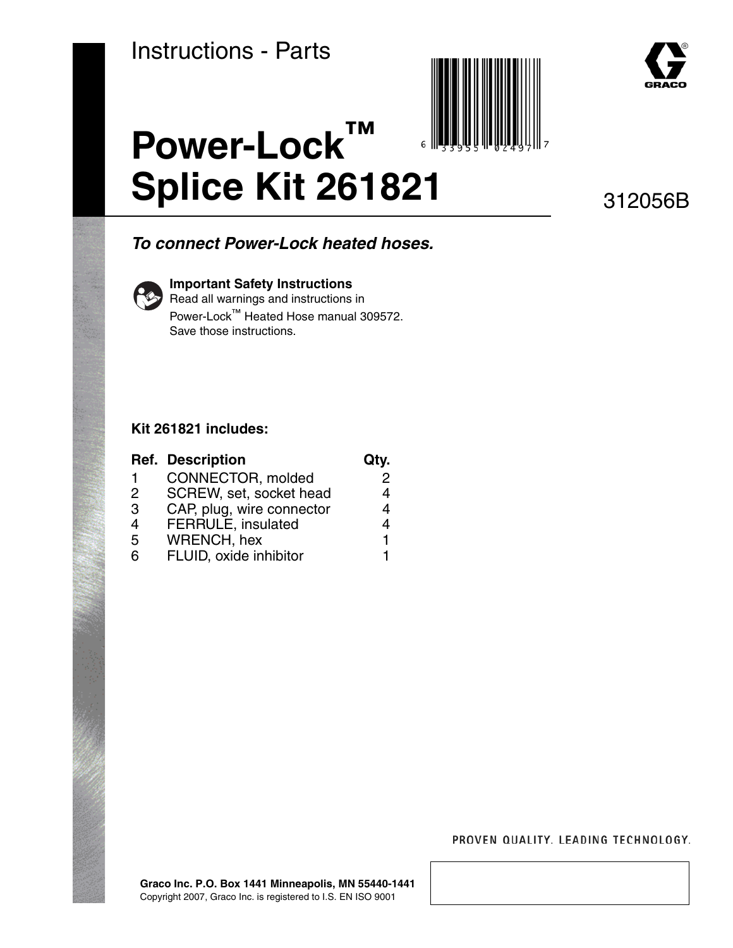



312056B

# *To connect Power-Lock heated hoses.*



### **Important Safety Instructions**

**Power-Lock™**

Read all warnings and instructions in Power-Lock™ Heated Hose manual 309572. Save those instructions.

### **Kit 261821 includes:**

|               | <b>Ref. Description</b>   | Qty. |
|---------------|---------------------------|------|
|               | CONNECTOR, molded         | 2    |
| $\mathcal{P}$ | SCREW, set, socket head   | 4    |
| 3             | CAP, plug, wire connector | 4    |
| 4             | <b>FERRULE, insulated</b> | 4    |
| 5             | <b>WRENCH, hex</b>        | 1    |
| 6             | FLUID, oxide inhibitor    |      |

#### PROVEN QUALITY. LEADING TECHNOLOGY.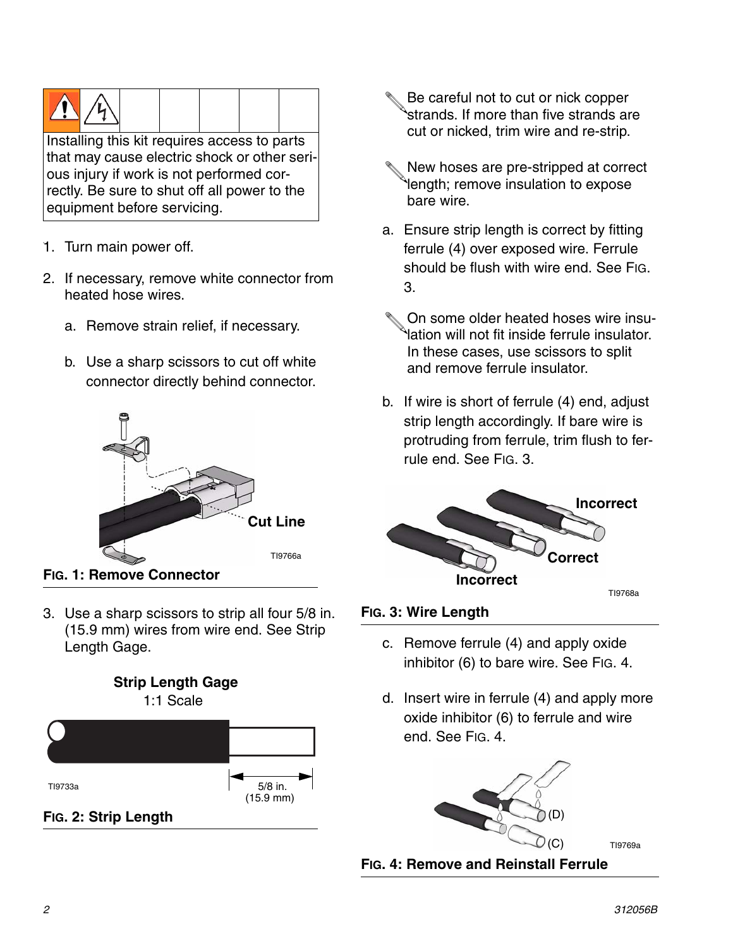

that may cause electric shock or other serious injury if work is not performed correctly. Be sure to shut off all power to the equipment before servicing.

- 1. Turn main power off.
- 2. If necessary, remove white connector from heated hose wires.
	- a. Remove strain relief, if necessary.
	- b. Use a sharp scissors to cut off white connector directly behind connector.



3. Use a sharp scissors to strip all four 5/8 in. (15.9 mm) wires from wire end. See Strip Length Gage.



- Be careful not to cut or nick copper strands. If more than five strands are cut or nicked, trim wire and re-strip.
- New hoses are pre-stripped at correct length; remove insulation to expose bare wire.
- a. Ensure strip length is correct by fitting ferrule (4) over exposed wire. Ferrule should be flush with wire end. See [FIG.](#page-1-0)  [3](#page-1-0).
- On some older heated hoses wire insulation will not fit inside ferrule insulator. In these cases, use scissors to split and remove ferrule insulator.
- b. If wire is short of ferrule (4) end, adjust strip length accordingly. If bare wire is protruding from ferrule, trim flush to ferrule end. See [FIG. 3](#page-1-0).



# <span id="page-1-0"></span>**FIG. 3: Wire Length**

- c. Remove ferrule (4) and apply oxide inhibitor (6) to bare wire. See [FIG. 4](#page-1-1).
- d. Insert wire in ferrule (4) and apply more oxide inhibitor (6) to ferrule and wire end. See [FIG. 4.](#page-1-1)



<span id="page-1-1"></span>**FIG. 4: Remove and Reinstall Ferrule**

(C) TI9769a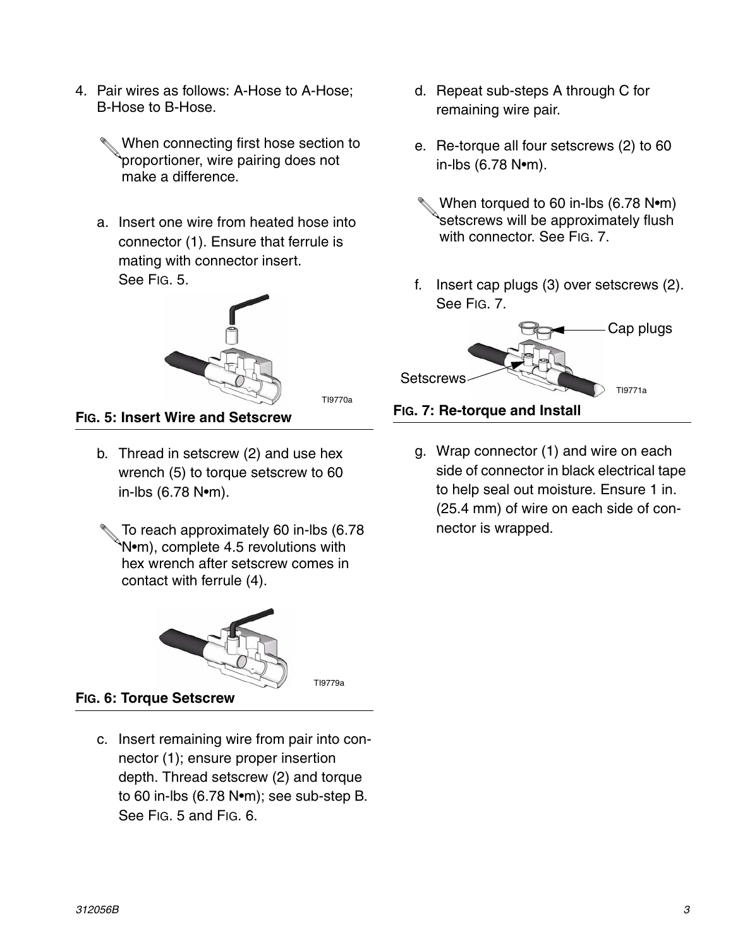- 4. Pair wires as follows: A-Hose to A-Hose; B-Hose to B-Hose.
	- When connecting first hose section to proportioner, wire pairing does not make a difference.
	- a. Insert one wire from heated hose into connector (1). Ensure that ferrule is mating with connector insert. See [FIG. 5](#page-2-0).



TI9770a

TI9779a

<span id="page-2-0"></span>**FIG. 5: Insert Wire and Setscrew**

- b. Thread in setscrew (2) and use hex wrench (5) to torque setscrew to 60 in-lbs (6.78 N•m).
- To reach approximately 60 in-lbs (6.78 N•m), complete 4.5 revolutions with hex wrench after setscrew comes in contact with ferrule (4).



**FIG. 6: Torque Setscrew**

c. Insert remaining wire from pair into connector (1); ensure proper insertion depth. Thread setscrew (2) and torque to 60 in-lbs (6.78 N•m); see sub-step B. See [FIG. 5](#page-2-0) and FIG. 6.

- d. Repeat sub-steps A through C for remaining wire pair.
- e. Re-torque all four setscrews (2) to 60 in-lbs (6.78 N•m).
- When torqued to 60 in-lbs (6.78 N•m) setscrews will be approximately flush with connector. See FIG. 7.
- f. Insert cap plugs (3) over setscrews (2). See FIG. 7.



# **FIG. 7: Re-torque and Install**

g. Wrap connector (1) and wire on each side of connector in black electrical tape to help seal out moisture. Ensure 1 in. (25.4 mm) of wire on each side of connector is wrapped.